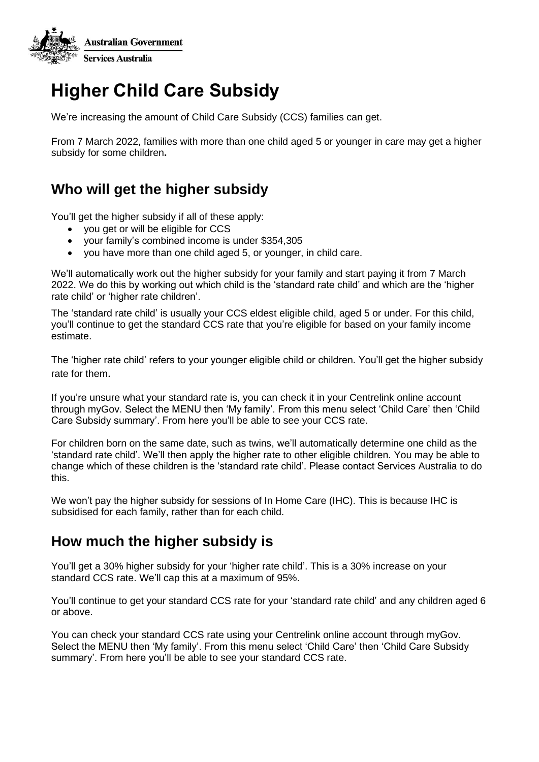

# **Higher Child Care Subsidy**

We're increasing the amount of Child Care Subsidy (CCS) families can get.

From 7 March 2022, families with more than one child aged 5 or younger in care may get a higher subsidy for some children**.**

## **Who will get the higher subsidy**

You'll get the higher subsidy if all of these apply:

- you get or will be eligible for CCS
- your family's combined income is under \$354,305
- you have more than one child aged 5, or younger, in child care.

We'll automatically work out the higher subsidy for your family and start paying it from 7 March 2022. We do this by working out which child is the 'standard rate child' and which are the 'higher rate child' or 'higher rate children'.

The 'standard rate child' is usually your CCS eldest eligible child, aged 5 or under. For this child, you'll continue to get the standard CCS rate that you're eligible for based on your family income estimate.

The 'higher rate child' refers to your younger eligible child or children. You'll get the higher subsidy rate for them.

If you're unsure what your standard rate is, you can check it in your Centrelink online account through myGov. Select the MENU then 'My family'. From this menu select 'Child Care' then 'Child Care Subsidy summary'. From here you'll be able to see your CCS rate.

For children born on the same date, such as twins, we'll automatically determine one child as the 'standard rate child'. We'll then apply the higher rate to other eligible children. You may be able to change which of these children is the 'standard rate child'. Please contact Services Australia to do this.

We won't pay the higher subsidy for sessions of In Home Care (IHC). This is because IHC is subsidised for each family, rather than for each child.

### **How much the higher subsidy is**

You'll get a 30% higher subsidy for your 'higher rate child'. This is a 30% increase on your standard CCS rate. We'll cap this at a maximum of 95%.

You'll continue to get your standard CCS rate for your 'standard rate child' and any children aged 6 or above.

You can check your standard CCS rate using your Centrelink online account through myGov. Select the MENU then 'My family'. From this menu select 'Child Care' then 'Child Care Subsidy summary'. From here you'll be able to see your standard CCS rate.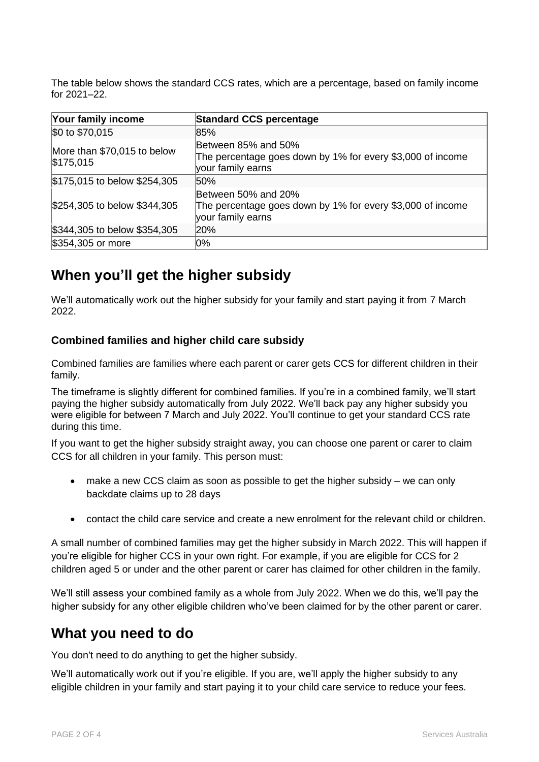The table below shows the standard CCS rates, which are a percentage, based on family income for 2021–22.

| Your family income                       | <b>Standard CCS percentage</b>                                                                         |
|------------------------------------------|--------------------------------------------------------------------------------------------------------|
| \$0 to \$70,015                          | 85%                                                                                                    |
| More than \$70,015 to below<br>\$175,015 | Between 85% and 50%<br>The percentage goes down by 1% for every \$3,000 of income<br>your family earns |
| \$175,015 to below \$254,305             | 50%                                                                                                    |
| \$254,305 to below \$344,305             | Between 50% and 20%<br>The percentage goes down by 1% for every \$3,000 of income<br>your family earns |
| \$344,305 to below \$354,305             | 20%                                                                                                    |
| \$354,305 or more                        | 0%                                                                                                     |

### **When you'll get the higher subsidy**

We'll automatically work out the higher subsidy for your family and start paying it from 7 March 2022.

#### **Combined families and higher child care subsidy**

Combined families are families where each parent or carer gets CCS for different children in their family.

The timeframe is slightly different for combined families. If you're in a combined family, we'll start paying the higher subsidy automatically from July 2022. We'll back pay any higher subsidy you were eligible for between 7 March and July 2022. You'll continue to get your standard CCS rate during this time.

If you want to get the higher subsidy straight away, you can choose one parent or carer to claim CCS for all children in your family. This person must:

- make a new CCS claim as soon as possible to get the higher subsidy we can only backdate claims up to 28 days
- contact the child care service and create a new enrolment for the relevant child or children.

A small number of combined families may get the higher subsidy in March 2022. This will happen if you're eligible for higher CCS in your own right. For example, if you are eligible for CCS for 2 children aged 5 or under and the other parent or carer has claimed for other children in the family.

We'll still assess your combined family as a whole from July 2022. When we do this, we'll pay the higher subsidy for any other eligible children who've been claimed for by the other parent or carer.

### **What you need to do**

You don't need to do anything to get the higher subsidy.

We'll automatically work out if you're eligible. If you are, we'll apply the higher subsidy to any eligible children in your family and start paying it to your child care service to reduce your fees.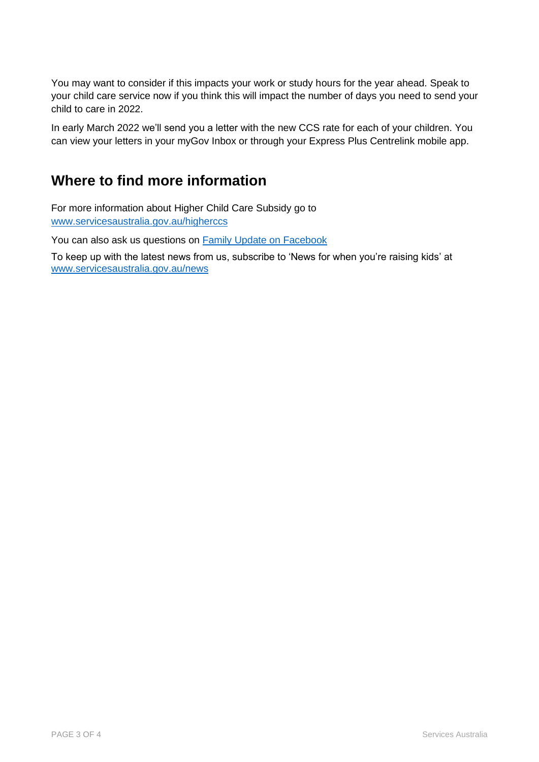You may want to consider if this impacts your work or study hours for the year ahead. Speak to your child care service now if you think this will impact the number of days you need to send your child to care in 2022.

In early March 2022 we'll send you a letter with the new CCS rate for each of your children. You can view your letters in your myGov Inbox or through your Express Plus Centrelink mobile app.

### **Where to find more information**

For more information about Higher Child Care Subsidy go to [www.servicesaustralia.gov.au/higherccs](http://www.servicesaustralia.gov.au/higherccs)

You can also ask us questions on **Family Update on Facebook** 

To keep up with the latest news from us, subscribe to 'News for when you're raising kids' at [www.servicesaustralia.gov.au/news](http://www.servicesaustralia.gov.au/news)